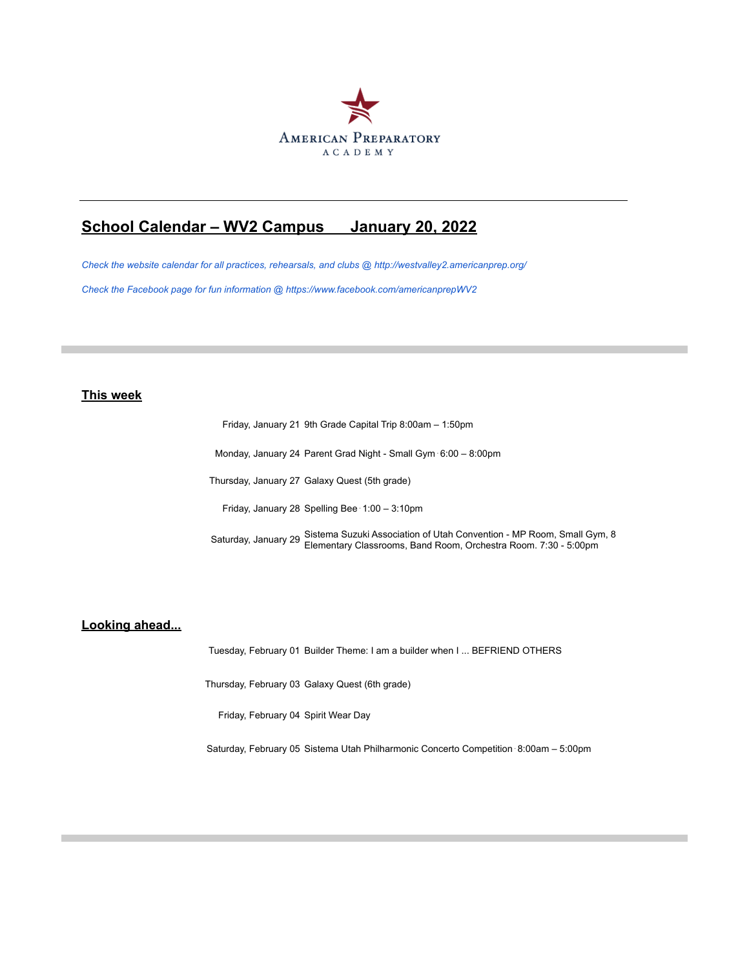

## **School Calendar – WV2 Campus January 20, 2022**

*Check the website calendar for all practices, rehearsals, and clubs @ http://westvalley2.americanprep.org/ Check the Facebook page for fun information @ https://www.facebook.com/americanprepWV2*

## **This week**

Friday, January 21 9th Grade Capital Trip 8:00am – 1:50pm

Monday, January 24 Parent Grad Night - Small Gym⋅6:00 – 8:00pm

Thursday, January 27 Galaxy Quest (5th grade)

Friday, January 28 Spelling Bee⋅1:00 – 3:10pm

Saturday, January 29 Sistema Suzuki Association of Utah Convention - MP Room, Small Gym, 8 Elementary Classrooms, Band Room, Orchestra Room. 7:30 - 5:00pm

## **Looking ahead...**

Tuesday, February 01 Builder Theme: I am a builder when I ... BEFRIEND OTHERS

Thursday, February 03 Galaxy Quest (6th grade)

Friday, February 04 Spirit Wear Day

Saturday, February 05 Sistema Utah Philharmonic Concerto Competition⋅8:00am – 5:00pm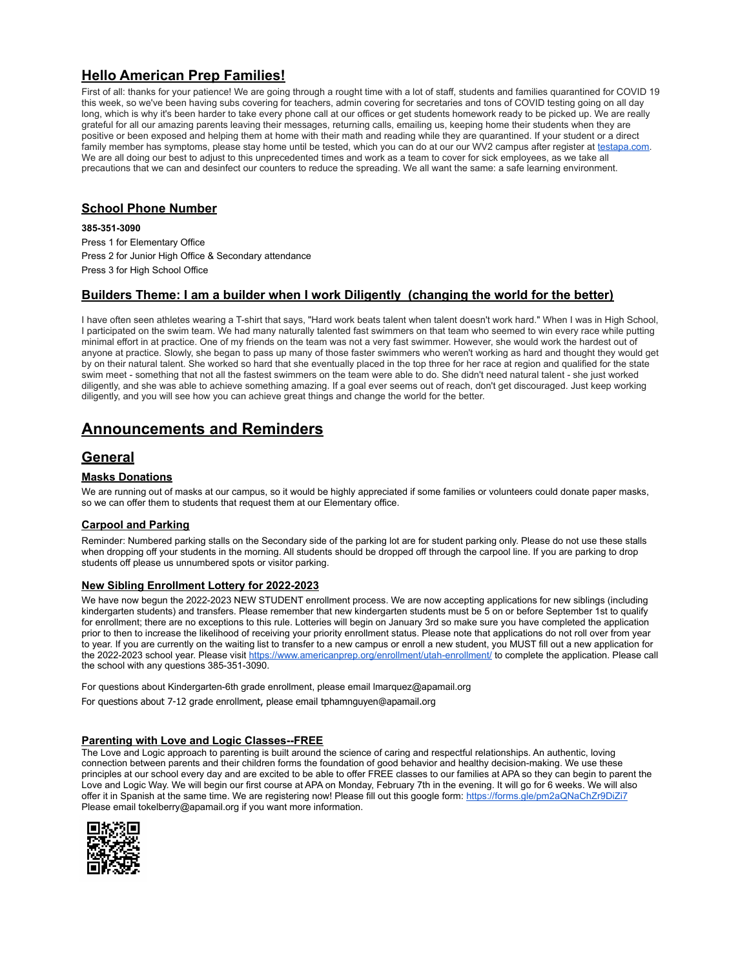## **Hello American Prep Families!**

First of all: thanks for your patience! We are going through a rought time with a lot of staff, students and families quarantined for COVID 19 this week, so we've been having subs covering for teachers, admin covering for secretaries and tons of COVID testing going on all day long, which is why it's been harder to take every phone call at our offices or get students homework ready to be picked up. We are really grateful for all our amazing parents leaving their messages, returning calls, emailing us, keeping home their students when they are positive or been exposed and helping them at home with their math and reading while they are quarantined. If your student or a direct family member has symptoms, please stay home until be tested, which you can do at our our WV2 campus after register at testapa.com.<br>We are all doing our best to adjust to this unprecedented times and work as a team to cove precautions that we can and desinfect our counters to reduce the spreading. We all want the same: a safe learning environment.

## **School Phone Number**

**385-351-3090**

Press 1 for Elementary Office Press 2 for Junior High Office & Secondary attendance Press 3 for High School Office

## **Builders Theme: I am a builder when I work Diligently (changing the world for the better)**

I have often seen athletes wearing a T-shirt that says, "Hard work beats talent when talent doesn't work hard." When I was in High School, I participated on the swim team. We had many naturally talented fast swimmers on that team who seemed to win every race while putting minimal effort in at practice. One of my friends on the team was not a very fast swimmer. However, she would work the hardest out of anyone at practice. Slowly, she began to pass up many of those faster swimmers who weren't working as hard and thought they would get by on their natural talent. She worked so hard that she eventually placed in the top three for her race at region and qualified for the state swim meet - something that not all the fastest swimmers on the team were able to do. She didn't need natural talent - she just worked diligently, and she was able to achieve something amazing. If a goal ever seems out of reach, don't get discouraged. Just keep working diligently, and you will see how you can achieve great things and change the world for the better.

## **Announcements and Reminders**

## **General**

## **Masks Donations**

We are running out of masks at our campus, so it would be highly appreciated if some families or volunteers could donate paper masks, so we can offer them to students that request them at our Elementary office.

### **Carpool and Parking**

Reminder: Numbered parking stalls on the Secondary side of the parking lot are for student parking only. Please do not use these stalls when dropping off your students in the morning. All students should be dropped off through the carpool line. If you are parking to drop students off please us unnumbered spots or visitor parking.

### **New Sibling Enrollment Lottery for 2022-2023**

We have now begun the 2022-2023 NEW STUDENT enrollment process. We are now accepting applications for new siblings (including kindergarten students) and transfers. Please remember that new kindergarten students must be 5 on or before September 1st to qualify for enrollment; there are no exceptions to this rule. Lotteries will begin on January 3rd so make sure you have completed the application prior to then to increase the likelihood of receiving your priority enrollment status. Please note that applications do not roll over from year to year. If you are currently on the waiting list to transfer to a new campus or enroll a new student, you MUST fill out a new application for the 2022-2023 school year. Please visit https://www.americanprep.org/enrollment/utah-enrollment/ to complete the application. Please call the school with any questions 385-351-3090.

For questions about Kindergarten-6th grade enrollment, please email lmarquez@apamail.org

[For questions about 7-12 grade enrollment, please email tphamnguyen@apamail.org](mailto:tphamnguyen@apamail.org)

### **Parenting with Love and Logic Classes--FREE**

The Love and Logic approach to parenting is built around the science of caring and respectful relationships. An authentic, loving connection between parents and their children forms the foundation of good behavior and healthy decision-making. We use these principles at our school every day and are excited to be able to offer FREE classes to our families at APA so they can begin to parent the Love and Logic Way. We will begin our first course at APA on Monday, February 7th in the evening. It will go for 6 weeks. We will also offer it in Spanish at the same time. We are registering now! Please fill out this google form: https://forms.gle/pm2aQNaChZr9DiZi7 Please email tokelberry@apamail.org if you want more information.

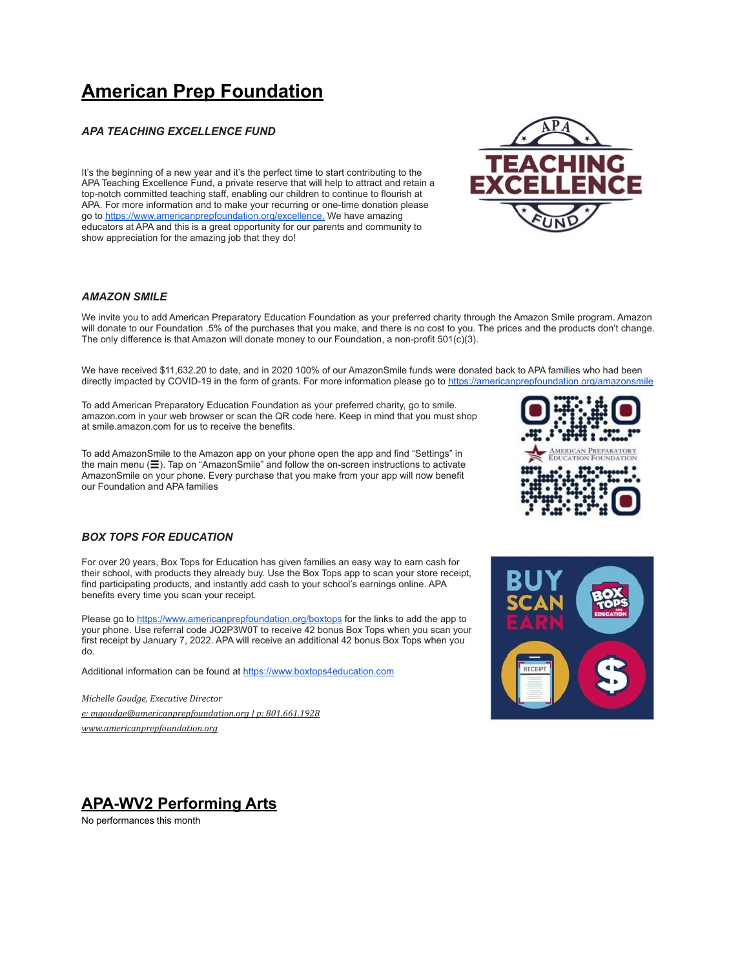# **American Prep Foundation**

### *APA TEACHING EXCELLENCE FUND*

It's the beginning of a new year and it's the perfect time to start contributing to the APA Teaching Excellence Fund, a private reserve that will help to attract and retain a top-notch committed teaching staff, enabling our children to continue to flourish at APA. For more information and to make your recurring or one-time donation please go to https://www.americanprepfoundation.org/excellence. We have amazing educators at APA and this is a great opportunity for our parents and community to show appreciation for the amazing job that they do!

### *AMAZON SMILE*

We invite you to add American Preparatory Education Foundation as your preferred charity through the Amazon Smile program. Amazon will donate to our Foundation .5% of the purchases that you make, and there is no cost to you. The prices and the products don't change. The only difference is that Amazon will donate money to our Foundation, a non-profit 501(c)(3).

We have received \$11,632.20 to date, and in 2020 100% of our AmazonSmile funds were donated back to APA families who had been directly impacted by COVID-19 in the form of grants. For more information please go to https://americanprepfoundation.org/amazonsmile

To add American Preparatory Education Foundation as your preferred charity, go to smile. amazon.com in your web browser or scan the QR code here. Keep in mind that you must shop at smile.amazon.com for us to receive the benefits.

To add AmazonSmile to the Amazon app on your phone open the app and find "Settings" in the main menu (☰). Tap on "AmazonSmile" and follow the on-screen instructions to activate AmazonSmile on your phone. Every purchase that you make from your app will now benefit our Foundation and APA families



### *BOX TOPS FOR EDUCATION*

For over 20 years, Box Tops for Education has given families an easy way to earn cash for their school, with products they already buy. Use the Box Tops app to scan your store receipt, find participating products, and instantly add cash to your school's earnings online. APA benefits every time you scan your receipt.

Please go to https://www.americanprepfoundation.org/boxtops for the links to add the app to your phone. Use referral code JO2P3W0T to receive 42 bonus Box Tops when you scan your first receipt by January 7, 2022. APA will receive an additional 42 bonus Box Tops when you do.

Additional information can be found at https://www.boxtops4education.com

*Michelle Goudge, Executive Director [e: mgoudge@americanprepfoundation.org | p: 801.661.1928](mailto:mgoudge@americanprepfoundation.org) [www.americanprepfoundation.org](http://www.americanprepfoundation.org)*



## **APA-WV2 Performing Arts**

No performances this month

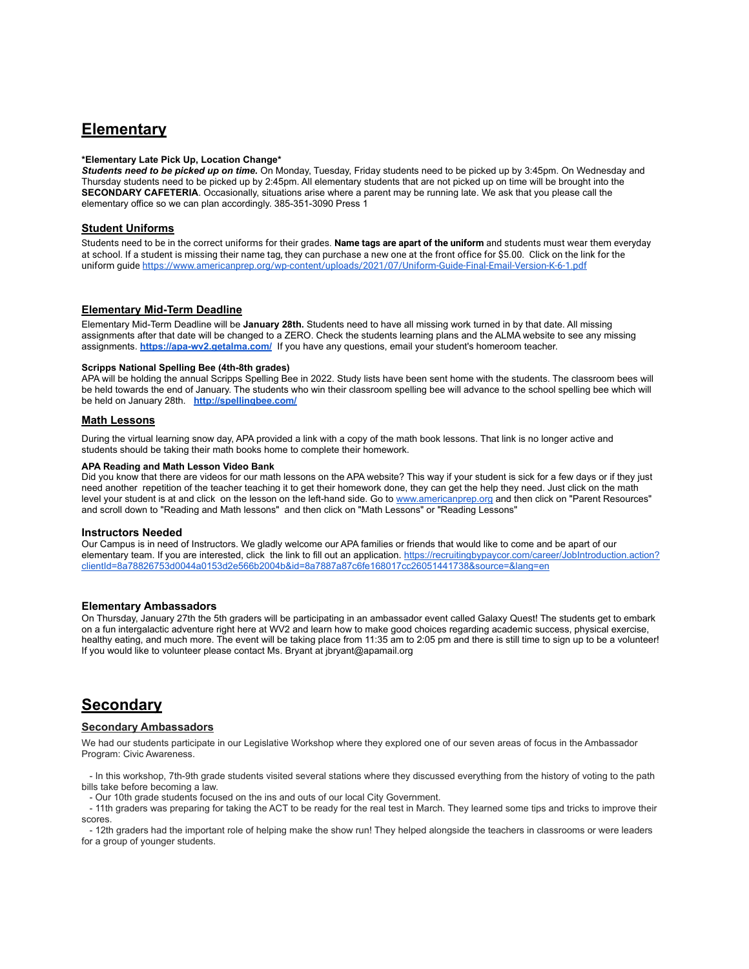## **Elementary**

### **\*Elementary Late Pick Up, Location Change\***

*Students need to be picked up on time.* On Monday, Tuesday, Friday students need to be picked up by 3:45pm. On Wednesday and Thursday students need to be picked up by 2:45pm. All elementary students that are not picked up on time will be brought into the **SECONDARY CAFETERIA**. Occasionally, situations arise where a parent may be running late. We ask that you please call the elementary office so we can plan accordingly. 385-351-3090 Press 1

### **Student Uniforms**

Students need to be in the correct uniforms for their grades. **Name tags are apart of the uniform** and students must wear them everyday at school. If a student is missing their name tag, they can purchase a new one at the front office for \$5.00. Click on the link for the uniform guide https://www.americanprep.org/wp-content/uploads/2021/07/Uniform-Guide-Final-Email-Version-K-6-1.pdf

### **Elementary Mid-Term Deadline**

Elementary Mid-Term Deadline will be **January 28th.** Students need to have all missing work turned in by that date. All missing assignments after that date will be changed to a ZERO. Check the students learning plans and the ALMA website to see any missing assignments. **https://apa-wv2.getalma.com/** If you have any questions, email your student's homeroom teacher.

#### **Scripps National Spelling Bee (4th-8th grades)**

APA will be holding the annual Scripps Spelling Bee in 2022. Study lists have been sent home with the students. The classroom bees will be held towards the end of January. The students who win their classroom spelling bee will advance to the school spelling bee which will be held on January 28th. **http://spellingbee.com/**

#### **Math Lessons**

During the virtual learning snow day, APA provided a link with a copy of the math book lessons. That link is no longer active and students should be taking their math books home to complete their homework.

#### **APA Reading and Math Lesson Video Bank**

Did you know that there are videos for our math lessons on the APA website? This way if your student is sick for a few days or if they just need another repetition of the teacher teaching it to get their homework done, they can get the help they need. Just click on the math level your student is at and click on the lesson on the left-hand side. Go to www.americanprep.org and then click on "Parent Resources" and scroll down to "Reading and Math lessons" and then click on "Math Lessons" or "Reading Lessons"

#### **Instructors Needed**

Our Campus is in need of Instructors. We gladly welcome our APA families or friends that would like to come and be apart of our elementary team. If you are interested, click the link to fill out an application. https://recruitingbypaycor.com/career/JobIntroduction.action? clientId=8a78826753d0044a0153d2e566b2004b&id=8a7887a87c6fe168017cc26051441738&source=&lang=en

### **Elementary Ambassadors**

On Thursday, January 27th the 5th graders will be participating in an ambassador event called Galaxy Quest! The students get to embark on a fun intergalactic adventure right here at WV2 and learn how to make good choices regarding academic success, physical exercise, healthy eating, and much more. The event will be taking place from 11:35 am to 2:05 pm and there is still time to sign up to be a volunteer! If you would like to volunteer please contact Ms. Bryant at jbryant@apamail.org

## **Secondary**

#### **Secondary Ambassadors**

We had our students participate in our Legislative Workshop where they explored one of our seven areas of focus in the Ambassador Program: Civic Awareness.

 - In this workshop, 7th-9th grade students visited several stations where they discussed everything from the history of voting to the path bills take before becoming a law.

- Our 10th grade students focused on the ins and outs of our local City Government.

 - 11th graders was preparing for taking the ACT to be ready for the real test in March. They learned some tips and tricks to improve their scores.

 - 12th graders had the important role of helping make the show run! They helped alongside the teachers in classrooms or were leaders for a group of younger students.